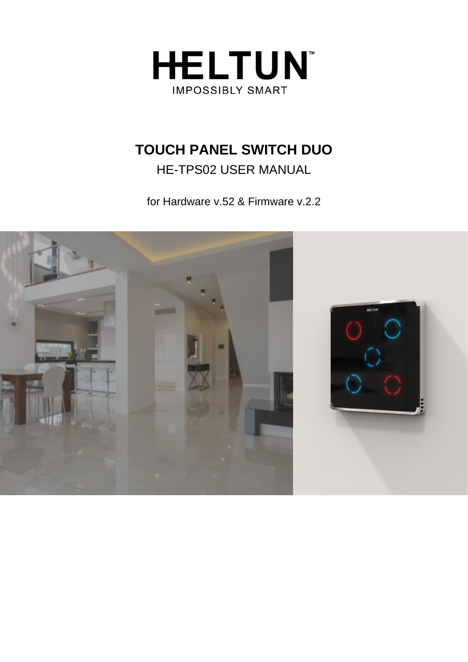

# **TOUCH PANEL SWITCH DUO**

HE-TPS02 USER MANUAL

for Hardware v.52 & Firmware v.2.2

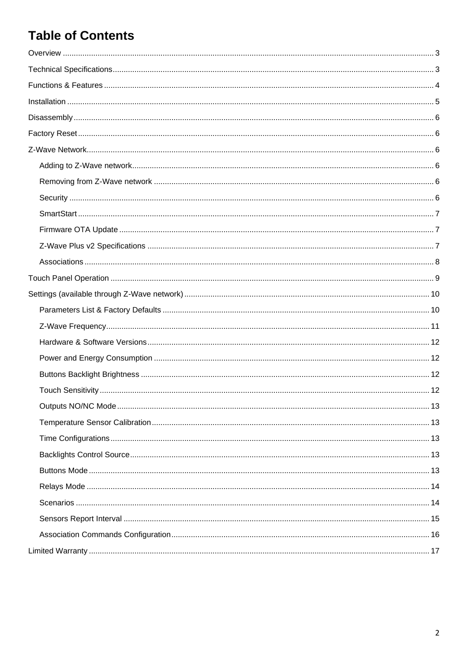# **Table of Contents**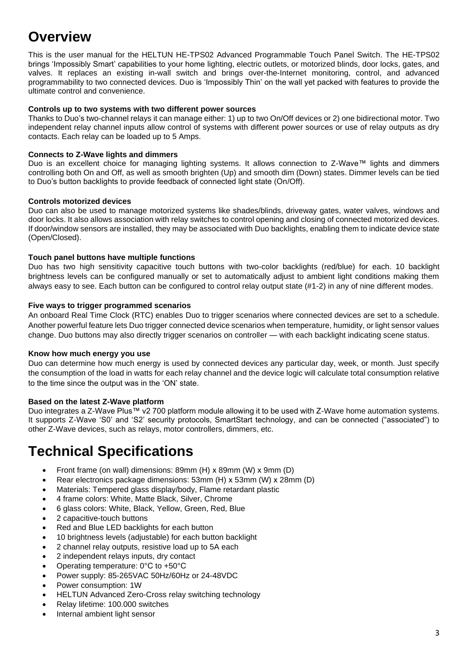# <span id="page-2-0"></span>**Overview**

This is the user manual for the HELTUN HE-TPS02 Advanced Programmable Touch Panel Switch. The HE-TPS02 brings 'Impossibly Smart' capabilities to your home lighting, electric outlets, or motorized blinds, door locks, gates, and valves. It replaces an existing in-wall switch and brings over-the-Internet monitoring, control, and advanced programmability to two connected devices. Duo is 'Impossibly Thin' on the wall yet packed with features to provide the ultimate control and convenience.

#### **Controls up to two systems with two different power sources**

Thanks to Duo's two-channel relays it can manage either: 1) up to two On/Off devices or 2) one bidirectional motor. Two independent relay channel inputs allow control of systems with different power sources or use of relay outputs as dry contacts. Each relay can be loaded up to 5 Amps.

#### **Connects to Z-Wave lights and dimmers**

Duo is an excellent choice for managing lighting systems. It allows connection to Z-Wave™ lights and dimmers controlling both On and Off, as well as smooth brighten (Up) and smooth dim (Down) states. Dimmer levels can be tied to Duo's button backlights to provide feedback of connected light state (On/Off).

#### **Controls motorized devices**

Duo can also be used to manage motorized systems like shades/blinds, driveway gates, water valves, windows and door locks. It also allows association with relay switches to control opening and closing of connected motorized devices. If door/window sensors are installed, they may be associated with Duo backlights, enabling them to indicate device state (Open/Closed).

#### **Touch panel buttons have multiple functions**

Duo has two high sensitivity capacitive touch buttons with two-color backlights (red/blue) for each. 10 backlight brightness levels can be configured manually or set to automatically adjust to ambient light conditions making them always easy to see. Each button can be configured to control relay output state (#1-2) in any of nine different modes.

#### **Five ways to trigger programmed scenarios**

An onboard Real Time Clock (RTC) enables Duo to trigger scenarios where connected devices are set to a schedule. Another powerful feature lets Duo trigger connected device scenarios when temperature, humidity, or light sensor values change. Duo buttons may also directly trigger scenarios on controller — with each backlight indicating scene status.

#### **Know how much energy you use**

Duo can determine how much energy is used by connected devices any particular day, week, or month. Just specify the consumption of the load in watts for each relay channel and the device logic will calculate total consumption relative to the time since the output was in the 'ON' state.

#### **Based on the latest Z-Wave platform**

Duo integrates a Z-Wave Plus™ v2 700 platform module allowing it to be used with Z-Wave home automation systems. It supports Z-Wave 'S0' and 'S2' security protocols, SmartStart technology, and can be connected ("associated") to other Z-Wave devices, such as relays, motor controllers, dimmers, etc.

## <span id="page-2-1"></span>**Technical Specifications**

- Front frame (on wall) dimensions: 89mm (H) х 89mm (W) х 9mm (D)
- Rear electronics package dimensions: 53mm (H) х 53mm (W) х 28mm (D)
- Materials: Tempered glass display/body, Flame retardant plastic
- 4 frame colors: White, Matte Black, Silver, Chrome
- 6 glass colors: White, Black, Yellow, Green, Red, Blue
- 2 capacitive-touch buttons
- Red and Blue LED backlights for each button
- 10 brightness levels (adjustable) for each button backlight
- 2 channel relay outputs, resistive load up to 5A each
- 2 independent relays inputs, dry contact
- Operating temperature: 0°С to +50°С
- Power supply: 85-265VAC 50Hz/60Hz or 24-48VDC
- Power consumption: 1W
- HELTUN Advanced Zero-Cross relay switching technology
- Relay lifetime: 100.000 switches
- Internal ambient light sensor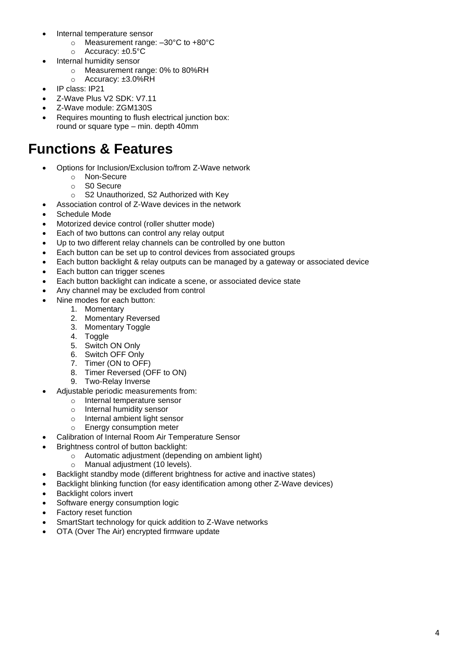- Internal temperature sensor
	- o Measurement range: –30°C to +80°C
	- o Accuracy: ±0.5°C
- Internal humidity sensor
	- o Measurement range: 0% to 80%RH
	- o Accuracy: ±3.0%RH
- IP class: IP21
- Z-Wave Plus V2 SDK: V7.11
- Z-Wave module: ZGM130S
- Requires mounting to flush electrical junction box: round or square type – min. depth 40mm

## <span id="page-3-0"></span>**Functions & Features**

- Options for Inclusion/Exclusion to/from Z-Wave network
	- o Non-Secure
	- o S0 Secure
	- o S2 Unauthorized, S2 Authorized with Key
	- Association control of Z-Wave devices in the network
- Schedule Mode
- Motorized device control (roller shutter mode)
- Each of two buttons can control any relay output
- Up to two different relay channels can be controlled by one button
- Each button can be set up to control devices from associated groups
- Each button backlight & relay outputs can be managed by a gateway or associated device
- Each button can trigger scenes
- Each button backlight can indicate a scene, or associated device state
- Any channel may be excluded from control
- Nine modes for each button:
	- 1. Momentary
	- 2. Momentary Reversed
	- 3. Momentary Toggle
	- 4. Toggle
	- 5. Switch ON Only
	- 6. Switch OFF Only
	- 7. Timer (ON to OFF)
	- 8. Timer Reversed (OFF to ON)
	- 9. Two-Relay Inverse
- Adjustable periodic measurements from:
	- o Internal temperature sensor<br>
	o Internal humidity sensor
	- o Internal humidity sensor<br>o Internal ambient light ser
	- o Internal ambient light sensor<br> **Energy consumption meter**
	- Energy consumption meter
	- Calibration of Internal Room Air Temperature Sensor
- Brightness control of button backlight:
	- o Automatic adjustment (depending on ambient light)
	- o Manual adjustment (10 levels).
- Backlight standby mode (different brightness for active and inactive states)
- Backlight blinking function (for easy identification among other Z-Wave devices)
- **Backlight colors invert**
- Software energy consumption logic
- Factory reset function
- SmartStart technology for quick addition to Z-Wave networks
- OTA (Over The Air) encrypted firmware update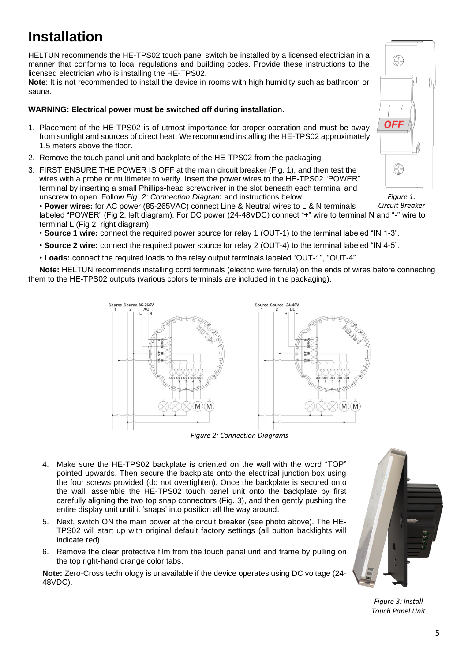# <span id="page-4-0"></span>**Installation**

HELTUN recommends the HE-TPS02 touch panel switch be installed by a licensed electrician in a manner that conforms to local regulations and building codes. Provide these instructions to the licensed electrician who is installing the HE-TPS02.

**Note**: It is not recommended to install the device in rooms with high humidity such as bathroom or sauna.

#### **WARNING: Electrical power must be switched off during installation.**

- 1. Placement of the HE-TPS02 is of utmost importance for proper operation and must be away from sunlight and sources of direct heat. We recommend installing the HE-TPS02 approximately 1.5 meters above the floor.
- 2. Remove the touch panel unit and backplate of the HE-TPS02 from the packaging.
- 3. FIRST ENSURE THE POWER IS OFF at the main circuit breaker (Fig. 1), and then test the wires with a probe or multimeter to verify. Insert the power wires to the HE-TPS02 "POWER" terminal by inserting a small Phillips-head screwdriver in the slot beneath each terminal and unscrew to open. Follow *Fig. 2: Connection Diagram* and instructions below:

• **Power wires:** for AC power (85-265VAC) connect Line & Neutral wires to L & N terminals labeled "POWER" (Fig 2. left diagram). For DC power (24-48VDC) connect "+" wire to terminal N and "-" wire to terminal L (Fig 2. right diagram). *Circuit Breaker*

- **Source 1 wire:** connect the required power source for relay 1 (OUT-1) to the terminal labeled "IN 1-3".
- **Source 2 wire:** connect the required power source for relay 2 (OUT-4) to the terminal labeled "IN 4-5".

• **Loads:** connect the required loads to the relay output terminals labeled "OUT-1", "OUT-4".

**Note:** HELTUN recommends installing cord terminals (electric wire ferrule) on the ends of wires before connecting them to the HE-TPS02 outputs (various colors terminals are included in the packaging).



*Figure 2: Connection Diagrams*

- 4. Make sure the HE-TPS02 backplate is oriented on the wall with the word "TOP" pointed upwards. Then secure the backplate onto the electrical junction box using the four screws provided (do not overtighten). Once the backplate is secured onto the wall, assemble the HE-TPS02 touch panel unit onto the backplate by first carefully aligning the two top snap connectors (Fig. 3), and then gently pushing the entire display unit until it 'snaps' into position all the way around.
- 5. Next, switch ON the main power at the circuit breaker (see photo above). The HE-TPS02 will start up with original default factory settings (all button backlights will indicate red).
- 6. Remove the clear protective film from the touch panel unit and frame by pulling on the top right-hand orange color tabs.

**Note:** Zero-Cross technology is unavailable if the device operates using DC voltage (24- 48VDC).



*Figure 3: Install Touch Panel Unit*



*Figure 1:*

5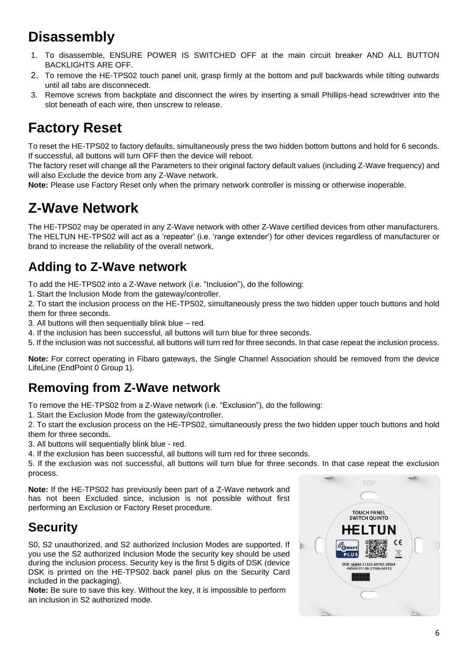# <span id="page-5-0"></span>**Disassembly**

- 1. To disassemble, ENSURE POWER IS SWITCHED OFF at the main circuit breaker AND ALL BUTTON BACKLIGHTS ARE OFF.
- 2. To remove the HE-TPS02 touch panel unit, grasp firmly at the bottom and pull backwards while tilting outwards until all tabs are disconnecedt.
- 3. Remove screws from backplate and disconnect the wires by inserting a small Phillips-head screwdriver into the slot beneath of each wire, then unscrew to release.

# <span id="page-5-1"></span>**Factory Reset**

To reset the HE-TPS02 to factory defaults, simultaneously press the two hidden bottom buttons and hold for 6 seconds. If successful, all buttons will turn OFF then the device will reboot.

The factory reset will change all the Parameters to their original factory default values (including Z-Wave frequency) and will also Exclude the device from any Z-Wave network.

**Note:** Please use Factory Reset only when the primary network controller is missing or otherwise inoperable.

# <span id="page-5-2"></span>**Z-Wave Network**

The HE-TPS02 may be operated in any Z-Wave network with other Z-Wave certified devices from other manufacturers. The HELTUN HE-TPS02 will act as a 'repeater' (i.e. 'range extender') for other devices regardless of manufacturer or brand to increase the reliability of the overall network.

## <span id="page-5-3"></span>**Adding to Z-Wave network**

To add the HE-TPS02 into a Z-Wave network (i.e. "Inclusion"), do the following:

1. Start the Inclusion Mode from the gateway/controller.

2. To start the inclusion process on the HE-TPS02, simultaneously press the two hidden upper touch buttons and hold them for three seconds.

3. All buttons will then sequentially blink blue – red.

4. If the inclusion has been successful, all buttons will turn blue for three seconds.

5. If the inclusion was not successful, all buttons will turn red for three seconds. In that case repeat the inclusion process.

**Note:** For correct operating in Fibaro gateways, the Single Channel Association should be removed from the device LifeLine (EndPoint 0 Group 1).

## <span id="page-5-4"></span>**Removing from Z-Wave network**

To remove the HE-TPS02 from a Z-Wave network (i.e. "Exclusion"), do the following:

1. Start the Exclusion Mode from the gateway/controller.

2. To start the exclusion process on the HE-TPS02, simultaneously press the two hidden upper touch buttons and hold them for three seconds.

3. All buttons will sequentially blink blue - red.

4. If the exclusion has been successful, all buttons will turn red for three seconds.

5. If the exclusion was not successful, all buttons will turn blue for three seconds. In that case repeat the exclusion process.

**Note:** If the HE-TPS02 has previously been part of a Z-Wave network and has not been Excluded since, inclusion is not possible without first performing an Exclusion or Factory Reset procedure.

## <span id="page-5-5"></span>**Security**

S0, S2 unauthorized, and S2 authorized Inclusion Modes are supported. If you use the S2 authorized Inclusion Mode the security key should be used during the inclusion process. Security key is the first 5 digits of DSK (device DSK is printed on the HE-TPS02 back panel plus on the Security Card included in the packaging).

**Note:** Be sure to save this key. Without the key, it is impossible to perform an inclusion in S2 authorized mode.

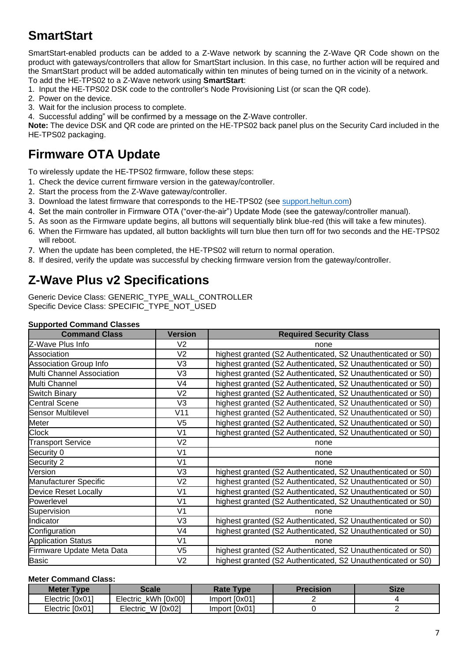## <span id="page-6-0"></span>**SmartStart**

SmartStart-enabled products can be added to a Z-Wave network by scanning the Z-Wave QR Code shown on the product with gateways/controllers that allow for SmartStart inclusion. In this case, no further action will be required and the SmartStart product will be added automatically within ten minutes of being turned on in the vicinity of a network. To add the HE-TPS02 to a Z-Wave network using **SmartStart**:

- 1. Input the HE-TPS02 DSK code to the controller's Node Provisioning List (or scan the QR code).
- 2. Power on the device.
- 3. Wait for the inclusion process to complete.
- 4. Successful adding" will be confirmed by a message on the Z-Wave controller.

**Note:** The device DSK and QR code are printed on the HE-TPS02 back panel plus on the Security Card included in the HE-TPS02 packaging.

## <span id="page-6-1"></span>**Firmware OTA Update**

To wirelessly update the HE-TPS02 firmware, follow these steps:

- 1. Check the device current firmware version in the gateway/controller.
- 2. Start the process from the Z-Wave gateway/controller.
- 3. Download the latest firmware that corresponds to the HE-TPS02 (see [support.heltun.com\)](https://support.heltun.com/)
- 4. Set the main controller in Firmware OTA ("over-the-air") Update Mode (see the gateway/controller manual).
- 5. As soon as the Firmware update begins, all buttons will sequentially blink blue-red (this will take a few minutes).
- 6. When the Firmware has updated, all button backlights will turn blue then turn off for two seconds and the HE-TPS02 will reboot.
- 7. When the update has been completed, the HE-TPS02 will return to normal operation.
- 8. If desired, verify the update was successful by checking firmware version from the gateway/controller.

## <span id="page-6-2"></span>**Z-Wave Plus v2 Specifications**

Generic Device Class: GENERIC\_TYPE\_WALL\_CONTROLLER Specific Device Class: SPECIFIC\_TYPE\_NOT\_USED

#### **Supported Command Classes**

| <b>Command Class</b>             | <b>Version</b> | <b>Required Security Class</b>                               |
|----------------------------------|----------------|--------------------------------------------------------------|
| Z-Wave Plus Info                 | V <sub>2</sub> | none                                                         |
| Association                      | V <sub>2</sub> | highest granted (S2 Authenticated, S2 Unauthenticated or S0) |
| <b>Association Group Info</b>    | V <sub>3</sub> | highest granted (S2 Authenticated, S2 Unauthenticated or S0) |
| <b>Multi Channel Association</b> | V3             | highest granted (S2 Authenticated, S2 Unauthenticated or S0) |
| Multi Channel                    | V <sub>4</sub> | highest granted (S2 Authenticated, S2 Unauthenticated or S0) |
| <b>Switch Binary</b>             | V <sub>2</sub> | highest granted (S2 Authenticated, S2 Unauthenticated or S0) |
| <b>Central Scene</b>             | V <sub>3</sub> | highest granted (S2 Authenticated, S2 Unauthenticated or S0) |
| <b>Sensor Multilevel</b>         | V11            | highest granted (S2 Authenticated, S2 Unauthenticated or S0) |
| Meter                            | V5             | highest granted (S2 Authenticated, S2 Unauthenticated or S0) |
| <b>Clock</b>                     | V1             | highest granted (S2 Authenticated, S2 Unauthenticated or S0) |
| <b>Transport Service</b>         | V <sub>2</sub> | none                                                         |
| Security 0                       | V <sub>1</sub> | none                                                         |
| Security 2                       | V <sub>1</sub> | none                                                         |
| Version                          | V <sub>3</sub> | highest granted (S2 Authenticated, S2 Unauthenticated or S0) |
| Manufacturer Specific            | V <sub>2</sub> | highest granted (S2 Authenticated, S2 Unauthenticated or S0) |
| <b>Device Reset Locally</b>      | V <sub>1</sub> | highest granted (S2 Authenticated, S2 Unauthenticated or S0) |
| Powerlevel                       | V <sub>1</sub> | highest granted (S2 Authenticated, S2 Unauthenticated or S0) |
| Supervision                      | V <sub>1</sub> | none                                                         |
| Indicator                        | V3             | highest granted (S2 Authenticated, S2 Unauthenticated or S0) |
| Configuration                    | V4             | highest granted (S2 Authenticated, S2 Unauthenticated or S0) |
| <b>Application Status</b>        | V <sub>1</sub> | none                                                         |
| Firmware Update Meta Data        | V5             | highest granted (S2 Authenticated, S2 Unauthenticated or S0) |
| <b>Basic</b>                     | V <sub>2</sub> | highest granted (S2 Authenticated, S2 Unauthenticated or S0) |

#### **Meter Command Class:**

| <b>Meter Type</b> | Scale                | <b>Rate Type</b> | Precision | <b>Size</b> |
|-------------------|----------------------|------------------|-----------|-------------|
| Electric [0x01]   | Electric kWh [0x00]  | Import [0x01]    |           |             |
| Electric [0x01]   | W [0x02]<br>Electric | Import [0x01]    |           |             |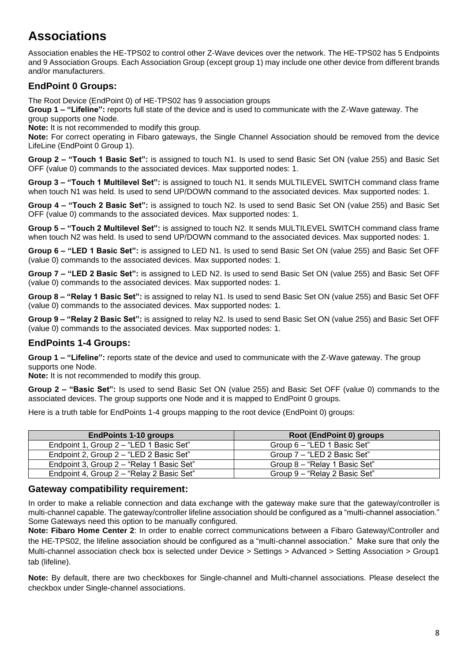## <span id="page-7-0"></span>**Associations**

Association enables the HE-TPS02 to control other Z-Wave devices over the network. The HE-TPS02 has 5 Endpoints and 9 Association Groups. Each Association Group (except group 1) may include one other device from different brands and/or manufacturers.

#### **EndPoint 0 Groups:**

The Root Device (EndPoint 0) of HE-TPS02 has 9 association groups

**Group 1 – "Lifeline":** reports full state of the device and is used to communicate with the Z-Wave gateway. The group supports one Node.

**Note:** It is not recommended to modify this group.

**Note:** For correct operating in Fibaro gateways, the Single Channel Association should be removed from the device LifeLine (EndPoint 0 Group 1).

**Group 2 – "Touch 1 Basic Set":** is assigned to touch N1. Is used to send Basic Set ON (value 255) and Basic Set OFF (value 0) commands to the associated devices. Max supported nodes: 1.

**Group 3 – "Touch 1 Multilevel Set":** is assigned to touch N1. It sends MULTILEVEL SWITCH command class frame when touch N1 was held. Is used to send UP/DOWN command to the associated devices. Max supported nodes: 1.

**Group 4 – "Touch 2 Basic Set":** is assigned to touch N2. Is used to send Basic Set ON (value 255) and Basic Set OFF (value 0) commands to the associated devices. Max supported nodes: 1.

**Group 5 – "Touch 2 Multilevel Set":** is assigned to touch N2. It sends MULTILEVEL SWITCH command class frame when touch N2 was held. Is used to send UP/DOWN command to the associated devices. Max supported nodes: 1.

**Group 6 – "LED 1 Basic Set":** is assigned to LED N1. Is used to send Basic Set ON (value 255) and Basic Set OFF (value 0) commands to the associated devices. Max supported nodes: 1.

**Group 7 – "LED 2 Basic Set":** is assigned to LED N2. Is used to send Basic Set ON (value 255) and Basic Set OFF (value 0) commands to the associated devices. Max supported nodes: 1.

**Group 8 – "Relay 1 Basic Set":** is assigned to relay N1. Is used to send Basic Set ON (value 255) and Basic Set OFF (value 0) commands to the associated devices. Max supported nodes: 1.

**Group 9 – "Relay 2 Basic Set":** is assigned to relay N2. Is used to send Basic Set ON (value 255) and Basic Set OFF (value 0) commands to the associated devices. Max supported nodes: 1.

#### **EndPoints 1-4 Groups:**

**Group 1 – "Lifeline":** reports state of the device and used to communicate with the Z-Wave gateway. The group supports one Node.

**Note:** It is not recommended to modify this group.

**Group 2 – "Basic Set":** Is used to send Basic Set ON (value 255) and Basic Set OFF (value 0) commands to the associated devices. The group supports one Node and it is mapped to EndPoint 0 groups.

Here is a truth table for EndPoints 1-4 groups mapping to the root device (EndPoint 0) groups:

| <b>EndPoints 1-10 groups</b>              | Root (EndPoint 0) groups      |
|-------------------------------------------|-------------------------------|
| Endpoint 1, Group 2 – "LED 1 Basic Set"   | Group 6 – "LED 1 Basic Set"   |
| Endpoint 2, Group 2 - "LED 2 Basic Set"   | Group 7 - "LED 2 Basic Set"   |
| Endpoint 3, Group 2 - "Relay 1 Basic Set" | Group 8 - "Relay 1 Basic Set" |
| Endpoint 4, Group 2 - "Relay 2 Basic Set" | Group 9 – "Relay 2 Basic Set" |

#### **Gateway compatibility requirement:**

In order to make a reliable connection and data exchange with the gateway make sure that the gateway/controller is multi-channel capable. The gateway/controller lifeline association should be configured as a "multi-channel association." Some Gateways need this option to be manually configured.

**Note: Fibaro Home Center 2**: In order to enable correct communications between a Fibaro Gateway/Controller and the HE-TPS02, the lifeline association should be configured as a "multi-channel association." Make sure that only the Multi-channel association check box is selected under Device > Settings > Advanced > Setting Association > Group1 tab (lifeline).

**Note:** By default, there are two checkboxes for Single-channel and Multi-channel associations. Please deselect the checkbox under Single-channel associations.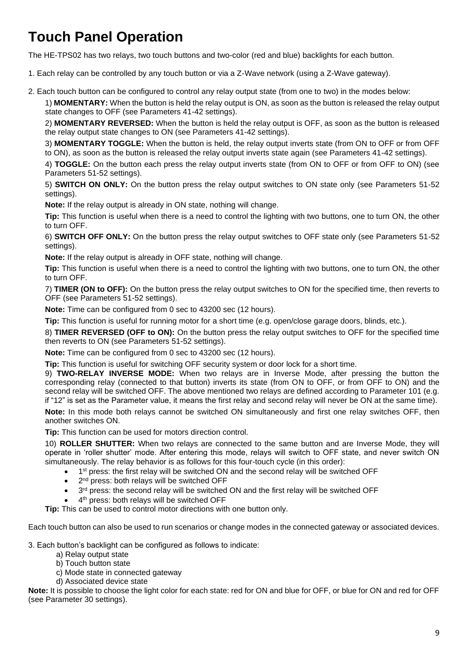# <span id="page-8-0"></span>**Touch Panel Operation**

The HE-TPS02 has two relays, two touch buttons and two-color (red and blue) backlights for each button.

1. Each relay can be controlled by any touch button or via a Z-Wave network (using a Z-Wave gateway).

2. Each touch button can be configured to control any relay output state (from one to two) in the modes below:

1) **MOMENTARY:** When the button is held the relay output is ON, as soon as the button is released the relay output state changes to OFF (see Parameters 41-42 settings).

2) **MOMENTARY REVERSED:** When the button is held the relay output is OFF, as soon as the button is released the relay output state changes to ON (see Parameters 41-42 settings).

3) **MOMENTARY TOGGLE:** When the button is held, the relay output inverts state (from ON to OFF or from OFF to ON), as soon as the button is released the relay output inverts state again (see Parameters 41-42 settings).

4) **TOGGLE:** On the button each press the relay output inverts state (from ON to OFF or from OFF to ON) (see Parameters 51-52 settings).

5) **SWITCH ON ONLY:** On the button press the relay output switches to ON state only (see Parameters 51-52 settings).

**Note:** If the relay output is already in ON state, nothing will change.

**Tip:** This function is useful when there is a need to control the lighting with two buttons, one to turn ON, the other to turn OFF.

6) **SWITCH OFF ONLY:** On the button press the relay output switches to OFF state only (see Parameters 51-52 settings).

**Note:** If the relay output is already in OFF state, nothing will change.

**Tip:** This function is useful when there is a need to control the lighting with two buttons, one to turn ON, the other to turn OFF.

7) **TIMER (ON to OFF):** On the button press the relay output switches to ON for the specified time, then reverts to OFF (see Parameters 51-52 settings).

**Note:** Time can be configured from 0 sec to 43200 sec (12 hours).

**Tip:** This function is useful for running motor for a short time (e.g. open/close garage doors, blinds, etc.).

8) **TIMER REVERSED (OFF to ON):** On the button press the relay output switches to OFF for the specified time then reverts to ON (see Parameters 51-52 settings).

**Note:** Time can be configured from 0 sec to 43200 sec (12 hours).

**Tip:** This function is useful for switching OFF security system or door lock for a short time.

9) **TWO-RELAY INVERSE MODE:** When two relays are in Inverse Mode, after pressing the button the corresponding relay (connected to that button) inverts its state (from ON to OFF, or from OFF to ON) and the second relay will be switched OFF. The above mentioned two relays are defined according to Parameter 101 (e.g. if "12" is set as the Parameter value, it means the first relay and second relay will never be ON at the same time).

**Note:** In this mode both relays cannot be switched ON simultaneously and first one relay switches OFF, then another switches ON.

**Tip:** This function can be used for motors direction control.

10) **ROLLER SHUTTER:** When two relays are connected to the same button and are Inverse Mode, they will operate in 'roller shutter' mode. After entering this mode, relays will switch to OFF state, and never switch ON simultaneously. The relay behavior is as follows for this four-touch cycle (in this order):

- $\bullet$  1<sup>st</sup> press: the first relay will be switched ON and the second relay will be switched OFF
- 2<sup>nd</sup> press: both relays will be switched OFF
- $\bullet$  3<sup>rd</sup> press: the second relay will be switched ON and the first relay will be switched OFF
- 4<sup>th</sup> press: both relays will be switched OFF

**Tip:** This can be used to control motor directions with one button only.

Each touch button can also be used to run scenarios or change modes in the connected gateway or associated devices.

3. Each button's backlight can be configured as follows to indicate:

- a) Relay output state
- b) Touch button state
- c) Mode state in connected gateway
- d) Associated device state

**Note:** It is possible to choose the light color for each state: red for ON and blue for OFF, or blue for ON and red for OFF (see Parameter 30 settings).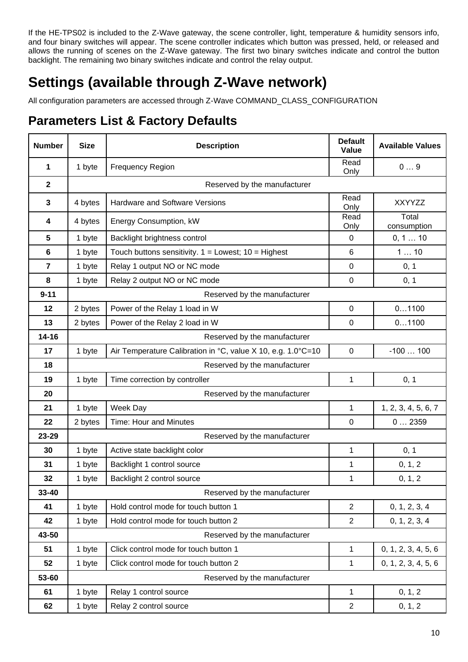If the HE-TPS02 is included to the Z-Wave gateway, the scene controller, light, temperature & humidity sensors info, and four binary switches will appear. The scene controller indicates which button was pressed, held, or released and allows the running of scenes on the Z-Wave gateway. The first two binary switches indicate and control the button backlight. The remaining two binary switches indicate and control the relay output.

# <span id="page-9-0"></span>**Settings (available through Z-Wave network)**

All configuration parameters are accessed through Z-Wave COMMAND\_CLASS\_CONFIGURATION

## <span id="page-9-1"></span>**Parameters List & Factory Defaults**

| <b>Number</b>           | <b>Size</b>                  | <b>Description</b>                                           | <b>Default</b><br>Value | <b>Available Values</b> |
|-------------------------|------------------------------|--------------------------------------------------------------|-------------------------|-------------------------|
| 1                       | 1 byte                       | <b>Frequency Region</b>                                      | Read<br>Only            | 09                      |
| $\overline{\mathbf{2}}$ | Reserved by the manufacturer |                                                              |                         |                         |
| $\mathbf{3}$            | 4 bytes                      | Hardware and Software Versions                               | Read<br>Only            | XXYYZZ                  |
| 4                       | 4 bytes                      | Energy Consumption, kW                                       | Read<br>Only            | Total<br>consumption    |
| 5                       | 1 byte                       | Backlight brightness control                                 | 0                       | 0, 1  10                |
| 6                       | 1 byte                       | Touch buttons sensitivity. $1 =$ Lowest; $10 =$ Highest      | 6                       | 110                     |
| $\overline{\mathbf{r}}$ | 1 byte                       | Relay 1 output NO or NC mode                                 | $\pmb{0}$               | 0, 1                    |
| 8                       | 1 byte                       | Relay 2 output NO or NC mode                                 | 0                       | 0, 1                    |
| $9 - 11$                |                              | Reserved by the manufacturer                                 |                         |                         |
| 12                      | 2 bytes                      | Power of the Relay 1 load in W                               | 0                       | 01100                   |
| 13                      | 2 bytes                      | Power of the Relay 2 load in W                               | 0                       | 01100                   |
| $14 - 16$               | Reserved by the manufacturer |                                                              |                         |                         |
| 17                      | 1 byte                       | Air Temperature Calibration in °C, value X 10, e.g. 1.0°C=10 | $\overline{0}$          | $-100100$               |
| 18                      | Reserved by the manufacturer |                                                              |                         |                         |
| 19                      | 1 byte                       | Time correction by controller                                | 1                       | 0, 1                    |
| 20                      | Reserved by the manufacturer |                                                              |                         |                         |
| 21                      | 1 byte                       | Week Day                                                     | 1                       | 1, 2, 3, 4, 5, 6, 7     |
| 22                      | 2 bytes                      | <b>Time: Hour and Minutes</b>                                | $\mathbf 0$             | 02359                   |
| 23-29                   | Reserved by the manufacturer |                                                              |                         |                         |
| 30                      | 1 byte                       | Active state backlight color                                 | 1                       | 0, 1                    |
| 31                      | 1 byte                       | Backlight 1 control source                                   | 1                       | 0, 1, 2                 |
| 32                      | 1 byte                       | Backlight 2 control source                                   | 1                       | 0, 1, 2                 |
| 33-40                   | Reserved by the manufacturer |                                                              |                         |                         |
| 41                      | 1 byte                       | Hold control mode for touch button 1                         | $\overline{2}$          | 0, 1, 2, 3, 4           |
| 42                      | 1 byte                       | Hold control mode for touch button 2                         | $\overline{2}$          | 0, 1, 2, 3, 4           |
| 43-50                   | Reserved by the manufacturer |                                                              |                         |                         |
| 51                      | 1 byte                       | Click control mode for touch button 1                        | 1                       | 0, 1, 2, 3, 4, 5, 6     |
| 52                      | 1 byte                       | Click control mode for touch button 2                        | 1                       | 0, 1, 2, 3, 4, 5, 6     |
| 53-60                   |                              | Reserved by the manufacturer                                 |                         |                         |
| 61                      | 1 byte                       | Relay 1 control source                                       | 1                       | 0, 1, 2                 |
| 62                      | 1 byte                       | Relay 2 control source                                       | $\overline{2}$          | 0, 1, 2                 |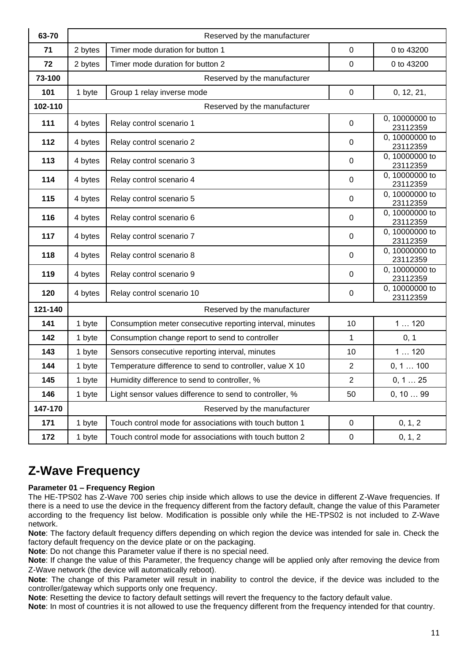| 63-70   | Reserved by the manufacturer |                                                           |                  |                            |  |
|---------|------------------------------|-----------------------------------------------------------|------------------|----------------------------|--|
| 71      | 2 bytes                      | Timer mode duration for button 1                          | $\mathbf 0$      | 0 to 43200                 |  |
| 72      | 2 bytes                      | Timer mode duration for button 2                          | $\Omega$         | 0 to 43200                 |  |
| 73-100  |                              | Reserved by the manufacturer                              |                  |                            |  |
| 101     | 1 byte                       | Group 1 relay inverse mode                                | $\mathbf 0$      | 0, 12, 21,                 |  |
| 102-110 |                              | Reserved by the manufacturer                              |                  |                            |  |
| 111     | 4 bytes                      | Relay control scenario 1                                  | $\mathbf 0$      | 0, 10000000 to<br>23112359 |  |
| 112     | 4 bytes                      | Relay control scenario 2                                  | $\mathbf 0$      | 0, 10000000 to<br>23112359 |  |
| 113     | 4 bytes                      | Relay control scenario 3                                  | $\mathbf 0$      | 0, 10000000 to<br>23112359 |  |
| 114     | 4 bytes                      | Relay control scenario 4                                  | $\mathbf 0$      | 0, 10000000 to<br>23112359 |  |
| 115     | 4 bytes                      | Relay control scenario 5                                  | $\mathbf 0$      | 0, 10000000 to<br>23112359 |  |
| 116     | 4 bytes                      | Relay control scenario 6                                  | $\mathbf 0$      | 0, 10000000 to<br>23112359 |  |
| 117     | 4 bytes                      | Relay control scenario 7                                  | $\mathbf 0$      | 0, 10000000 to<br>23112359 |  |
| 118     | 4 bytes                      | Relay control scenario 8                                  |                  | 0, 10000000 to<br>23112359 |  |
| 119     | 4 bytes                      | Relay control scenario 9                                  | 0                | 0, 10000000 to<br>23112359 |  |
| 120     | 4 bytes                      | Relay control scenario 10                                 | 0                | 0, 10000000 to<br>23112359 |  |
| 121-140 | Reserved by the manufacturer |                                                           |                  |                            |  |
| 141     | 1 byte                       | Consumption meter consecutive reporting interval, minutes | 10               | 1120                       |  |
| 142     | 1 byte                       | Consumption change report to send to controller           | $\mathbf{1}$     | 0, 1                       |  |
| 143     | 1 byte                       | Sensors consecutive reporting interval, minutes           | 10               | 1120                       |  |
| 144     | 1 byte                       | Temperature difference to send to controller, value X 10  | $\boldsymbol{2}$ | 0, 1  100                  |  |
| 145     | 1 byte                       | Humidity difference to send to controller, %              | $\boldsymbol{2}$ | 0, 1  25                   |  |
| 146     | 1 byte                       | Light sensor values difference to send to controller, %   | 50               | 0, 1099                    |  |
| 147-170 | Reserved by the manufacturer |                                                           |                  |                            |  |
| 171     | 1 byte                       | Touch control mode for associations with touch button 1   | $\mathsf 0$      | 0, 1, 2                    |  |
| 172     | 1 byte                       | Touch control mode for associations with touch button 2   | $\pmb{0}$        | 0, 1, 2                    |  |

## <span id="page-10-0"></span>**Z-Wave Frequency**

#### **Parameter 01 – Frequency Region**

The HE-TPS02 has Z-Wave 700 series chip inside which allows to use the device in different Z-Wave frequencies. If there is a need to use the device in the frequency different from the factory default, change the value of this Parameter according to the frequency list below. Modification is possible only while the HE-TPS02 is not included to Z-Wave network.

**Note**: The factory default frequency differs depending on which region the device was intended for sale in. Check the factory default frequency on the device plate or on the packaging.

**Note**: Do not change this Parameter value if there is no special need.

**Note**: If change the value of this Parameter, the frequency change will be applied only after removing the device from Z-Wave network (the device will automatically reboot).

**Note**: The change of this Parameter will result in inability to control the device, if the device was included to the controller/gateway which supports only one frequency.

**Note**: Resetting the device to factory default settings will revert the frequency to the factory default value.

**Note**: In most of countries it is not allowed to use the frequency different from the frequency intended for that country.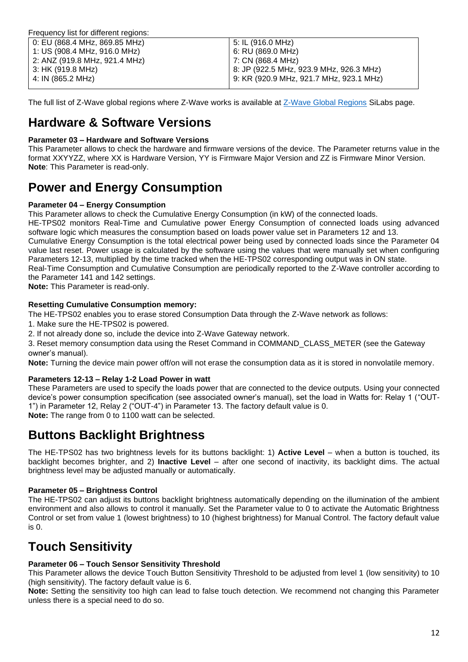| Frequency list for different regions: |                                         |
|---------------------------------------|-----------------------------------------|
| 0: EU (868.4 MHz, 869.85 MHz)         | 5: IL (916.0 MHz)                       |
| 1: US (908.4 MHz, 916.0 MHz)          | 6: RU (869.0 MHz)                       |
| 2: ANZ (919.8 MHz, 921.4 MHz)         | 7: CN (868.4 MHz)                       |
| 3: HK (919.8 MHz)                     | 8: JP (922.5 MHz, 923.9 MHz, 926.3 MHz) |
| 4: IN (865.2 MHz)                     | 9: KR (920.9 MHz, 921.7 MHz, 923.1 MHz) |
|                                       |                                         |

The full list of Z-Wave global regions where Z-Wave works is available at [Z-Wave Global Regions](https://www.silabs.com/products/wireless/mesh-networking/z-wave/benefits/technology/global-regions) SiLabs page.

### <span id="page-11-0"></span>**Hardware & Software Versions**

#### **Parameter 03 – Hardware and Software Versions**

This Parameter allows to check the hardware and firmware versions of the device. The Parameter returns value in the format XXYYZZ, where XX is Hardware Version, YY is Firmware Major Version and ZZ is Firmware Minor Version. **Note**: This Parameter is read-only.

### <span id="page-11-1"></span>**Power and Energy Consumption**

#### **Parameter 04 – Energy Consumption**

This Parameter allows to check the Cumulative Energy Consumption (in kW) of the connected loads.

HE-TPS02 monitors Real-Time and Cumulative power Energy Consumption of connected loads using advanced software logic which measures the consumption based on loads power value set in Parameters 12 and 13.

Cumulative Energy Consumption is the total electrical power being used by connected loads since the Parameter 04 value last reset. Power usage is calculated by the software using the values that were manually set when configuring Parameters 12-13, multiplied by the time tracked when the HE-TPS02 corresponding output was in ON state.

Real-Time Consumption and Cumulative Consumption are periodically reported to the Z-Wave controller according to the Parameter 141 and 142 settings.

**Note:** This Parameter is read-only.

#### **Resetting Cumulative Consumption memory:**

The HE-TPS02 enables you to erase stored Consumption Data through the Z-Wave network as follows:

1. Make sure the HE-TPS02 is powered.

2. If not already done so, include the device into Z-Wave Gateway network.

3. Reset memory consumption data using the Reset Command in COMMAND\_CLASS\_METER (see the Gateway owner's manual).

**Note:** Turning the device main power off/on will not erase the consumption data as it is stored in nonvolatile memory.

#### **Parameters 12-13 – Relay 1-2 Load Power in watt**

These Parameters are used to specify the loads power that are connected to the device outputs. Using your connected device's power consumption specification (see associated owner's manual), set the load in Watts for: Relay 1 ("OUT-1") in Parameter 12, Relay 2 ("OUT-4") in Parameter 13. The factory default value is 0. **Note:** The range from 0 to 1100 watt can be selected.

### <span id="page-11-2"></span>**Buttons Backlight Brightness**

The HE-TPS02 has two brightness levels for its buttons backlight: 1) **Active Level** – when a button is touched, its backlight becomes brighter, and 2) **Inactive Level** – after one second of inactivity, its backlight dims. The actual brightness level may be adjusted manually or automatically.

#### **Parameter 05 – Brightness Control**

The HE-TPS02 can adjust its buttons backlight brightness automatically depending on the illumination of the ambient environment and also allows to control it manually. Set the Parameter value to 0 to activate the Automatic Brightness Control or set from value 1 (lowest brightness) to 10 (highest brightness) for Manual Control. The factory default value is 0.

## <span id="page-11-3"></span>**Touch Sensitivity**

#### **Parameter 06 – Touch Sensor Sensitivity Threshold**

This Parameter allows the device Touch Button Sensitivity Threshold to be adjusted from level 1 (low sensitivity) to 10 (high sensitivity). The factory default value is 6.

**Note:** Setting the sensitivity too high can lead to false touch detection. We recommend not changing this Parameter unless there is a special need to do so.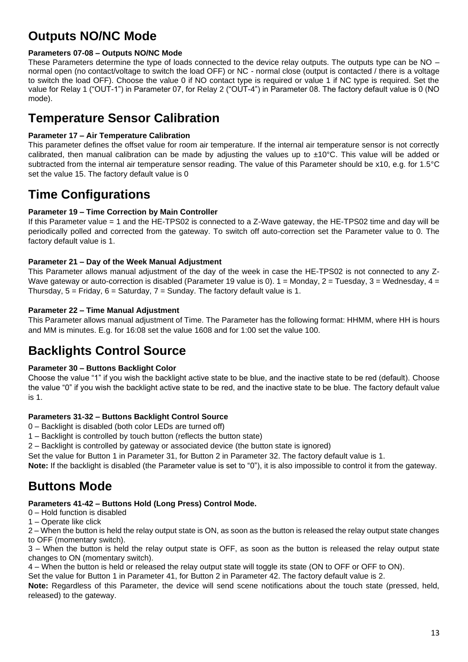## <span id="page-12-0"></span>**Outputs NO/NC Mode**

#### **Parameters 07-08 – Outputs NO/NC Mode**

These Parameters determine the type of loads connected to the device relay outputs. The outputs type can be NO – normal open (no contact/voltage to switch the load OFF) or NC - normal close (output is contacted / there is a voltage to switch the load OFF). Choose the value 0 if NO contact type is required or value 1 if NC type is required. Set the value for Relay 1 ("OUT-1") in Parameter 07, for Relay 2 ("OUT-4") in Parameter 08. The factory default value is 0 (NO mode).

## <span id="page-12-1"></span>**Temperature Sensor Calibration**

#### **Parameter 17 – Air Temperature Calibration**

This parameter defines the offset value for room air temperature. If the internal air temperature sensor is not correctly calibrated, then manual calibration can be made by adjusting the values up to  $\pm 10^{\circ}$ C. This value will be added or subtracted from the internal air temperature sensor reading. The value of this Parameter should be x10, e.g. for 1.5°C set the value 15. The factory default value is 0

### <span id="page-12-2"></span>**Time Configurations**

#### **Parameter 19 – Time Correction by Main Controller**

If this Parameter value = 1 and the HE-TPS02 is connected to a Z-Wave gateway, the HE-TPS02 time and day will be periodically polled and corrected from the gateway. To switch off auto-correction set the Parameter value to 0. The factory default value is 1.

#### **Parameter 21 – Day of the Week Manual Adjustment**

This Parameter allows manual adjustment of the day of the week in case the HE-TPS02 is not connected to any Z-Wave gateway or auto-correction is disabled (Parameter 19 value is 0).  $1 =$  Monday,  $2 =$  Tuesday,  $3 =$  Wednesday,  $4 =$ Thursday,  $5 =$  Friday,  $6 =$  Saturday,  $7 =$  Sunday. The factory default value is 1.

#### **Parameter 22 – Time Manual Adjustment**

This Parameter allows manual adjustment of Time. The Parameter has the following format: HHMM, where HH is hours and MM is minutes. E.g. for 16:08 set the value 1608 and for 1:00 set the value 100.

## <span id="page-12-3"></span>**Backlights Control Source**

#### **Parameter 30 – Buttons Backlight Color**

Choose the value "1" if you wish the backlight active state to be blue, and the inactive state to be red (default). Choose the value "0" if you wish the backlight active state to be red, and the inactive state to be blue. The factory default value is 1.

#### **Parameters 31-32 – Buttons Backlight Control Source**

- 0 Backlight is disabled (both color LEDs are turned off)
- 1 Backlight is controlled by touch button (reflects the button state)
- 2 Backlight is controlled by gateway or associated device (the button state is ignored)

Set the value for Button 1 in Parameter 31, for Button 2 in Parameter 32. The factory default value is 1.

**Note:** If the backlight is disabled (the Parameter value is set to "0"), it is also impossible to control it from the gateway.

## <span id="page-12-4"></span>**Buttons Mode**

#### **Parameters 41-42 – Buttons Hold (Long Press) Control Mode.**

- 0 Hold function is disabled
- 1 Operate like click

2 – When the button is held the relay output state is ON, as soon as the button is released the relay output state changes to OFF (momentary switch).

3 – When the button is held the relay output state is OFF, as soon as the button is released the relay output state changes to ON (momentary switch).

4 – When the button is held or released the relay output state will toggle its state (ON to OFF or OFF to ON).

Set the value for Button 1 in Parameter 41, for Button 2 in Parameter 42. The factory default value is 2.

**Note:** Regardless of this Parameter, the device will send scene notifications about the touch state (pressed, held, released) to the gateway.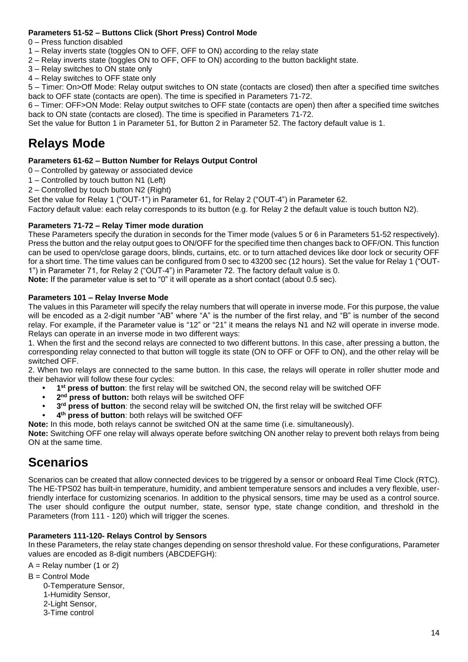#### **Parameters 51-52 – Buttons Click (Short Press) Control Mode**

- 0 Press function disabled
- 1 Relay inverts state (toggles ON to OFF, OFF to ON) according to the relay state
- 2 Relay inverts state (toggles ON to OFF, OFF to ON) according to the button backlight state.
- 3 Relay switches to ON state only
- 4 Relay switches to OFF state only

5 – Timer: On>Off Mode: Relay output switches to ON state (contacts are closed) then after a specified time switches back to OFF state (contacts are open). The time is specified in Parameters 71-72.

6 – Timer: OFF>ON Mode: Relay output switches to OFF state (contacts are open) then after a specified time switches back to ON state (contacts are closed). The time is specified in Parameters 71-72.

Set the value for Button 1 in Parameter 51, for Button 2 in Parameter 52. The factory default value is 1.

### <span id="page-13-0"></span>**Relays Mode**

#### **Parameters 61-62 – Button Number for Relays Output Control**

- 0 Controlled by gateway or associated device
- 1 Controlled by touch button N1 (Left)
- 2 Controlled by touch button N2 (Right)

Set the value for Relay 1 ("OUT-1") in Parameter 61, for Relay 2 ("OUT-4") in Parameter 62.

Factory default value: each relay corresponds to its button (e.g. for Relay 2 the default value is touch button N2).

#### **Parameters 71-72 – Relay Timer mode duration**

These Parameters specify the duration in seconds for the Timer mode (values 5 or 6 in Parameters 51-52 respectively). Press the button and the relay output goes to ON/OFF for the specified time then changes back to OFF/ON. This function can be used to open/close garage doors, blinds, curtains, etc. or to turn attached devices like door lock or security OFF for a short time. The time values can be configured from 0 sec to 43200 sec (12 hours). Set the value for Relay 1 ("OUT-1") in Parameter 71, for Relay 2 ("OUT-4") in Parameter 72. The factory default value is 0.

**Note:** If the parameter value is set to "0" it will operate as a short contact (about 0.5 sec).

#### **Parameters 101 – Relay Inverse Mode**

The values in this Parameter will specify the relay numbers that will operate in inverse mode. For this purpose, the value will be encoded as a 2-digit number "AB" where "A" is the number of the first relay, and "B" is number of the second relay. For example, if the Parameter value is "12" or "21" it means the relays N1 and N2 will operate in inverse mode. Relays can operate in an inverse mode in two different ways:

1. When the first and the second relays are connected to two different buttons. In this case, after pressing a button, the corresponding relay connected to that button will toggle its state (ON to OFF or OFF to ON), and the other relay will be switched OFF.

2. When two relays are connected to the same button. In this case, the relays will operate in roller shutter mode and their behavior will follow these four cycles:

- **• 1 st press of button**: the first relay will be switched ON, the second relay will be switched OFF
- **• 2 nd press of button:** both relays will be switched OFF
- **• 3 rd press of button**: the second relay will be switched ON, the first relay will be switched OFF
- **• 4 th press of button**: both relays will be switched OFF
- **Note:** In this mode, both relays cannot be switched ON at the same time (i.e. simultaneously).

**Note:** Switching OFF one relay will always operate before switching ON another relay to prevent both relays from being ON at the same time.

### <span id="page-13-1"></span>**Scenarios**

Scenarios can be created that allow connected devices to be triggered by a sensor or onboard Real Time Clock (RTC). The HE-TPS02 has built-in temperature, humidity, and ambient temperature sensors and includes a very flexible, userfriendly interface for customizing scenarios. In addition to the physical sensors, time may be used as a control source. The user should configure the output number, state, sensor type, state change condition, and threshold in the Parameters (from 111 - 120) which will trigger the scenes.

#### **Parameters 111-120- Relays Control by Sensors**

In these Parameters, the relay state changes depending on sensor threshold value. For these configurations, Parameter values are encoded as 8-digit numbers (ABCDEFGH):

 $A =$  Relay number (1 or 2)

 $B =$  Control Mode

 0-Temperature Sensor, 1-Humidity Sensor, 2-Light Sensor, 3-Time control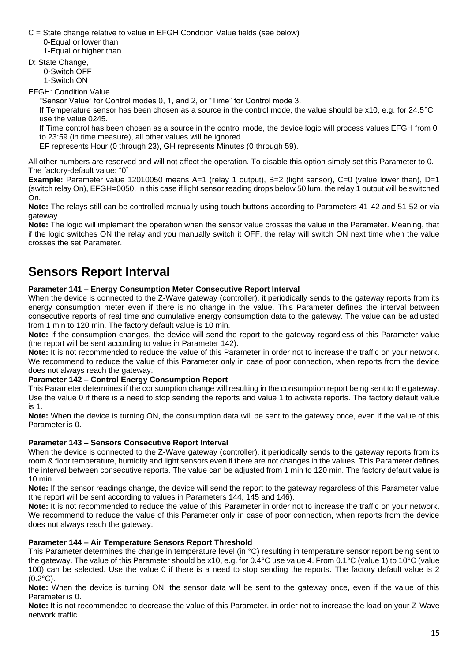C = State change relative to value in EFGH Condition Value fields (see below) 0-Equal or lower than 1-Equal or higher than

D: State Change,

 0-Switch OFF 1-Switch ON

EFGH: Condition Value

"Sensor Value" for Control modes 0, 1, and 2, or "Time" for Control mode 3.

If Temperature sensor has been chosen as a source in the control mode, the value should be x10, e.g. for 24.5°C use the value 0245.

If Time control has been chosen as a source in the control mode, the device logic will process values EFGH from 0 to 23:59 (in time measure), all other values will be ignored.

EF represents Hour (0 through 23), GH represents Minutes (0 through 59).

All other numbers are reserved and will not affect the operation. To disable this option simply set this Parameter to 0. The factory-default value: "0"

**Example:** Parameter value 12010050 means A=1 (relay 1 output), B=2 (light sensor), C=0 (value lower than), D=1 (switch relay On), EFGH=0050. In this case if light sensor reading drops below 50 lum, the relay 1 output will be switched On.

**Note:** The relays still can be controlled manually using touch buttons according to Parameters 41-42 and 51-52 or via gateway.

**Note:** The logic will implement the operation when the sensor value crosses the value in the Parameter. Meaning, that if the logic switches ON the relay and you manually switch it OFF, the relay will switch ON next time when the value crosses the set Parameter.

## <span id="page-14-0"></span>**Sensors Report Interval**

#### **Parameter 141 – Energy Consumption Meter Consecutive Report Interval**

When the device is connected to the Z-Wave gateway (controller), it periodically sends to the gateway reports from its energy consumption meter even if there is no change in the value. This Parameter defines the interval between consecutive reports of real time and cumulative energy consumption data to the gateway. The value can be adjusted from 1 min to 120 min. The factory default value is 10 min.

**Note:** If the consumption changes, the device will send the report to the gateway regardless of this Parameter value (the report will be sent according to value in Parameter 142).

**Note:** It is not recommended to reduce the value of this Parameter in order not to increase the traffic on your network. We recommend to reduce the value of this Parameter only in case of poor connection, when reports from the device does not always reach the gateway.

#### **Parameter 142 – Control Energy Consumption Report**

This Parameter determines if the consumption change will resulting in the consumption report being sent to the gateway. Use the value 0 if there is a need to stop sending the reports and value 1 to activate reports. The factory default value is 1.

**Note:** When the device is turning ON, the consumption data will be sent to the gateway once, even if the value of this Parameter is 0.

#### **Parameter 143 – Sensors Consecutive Report Interval**

When the device is connected to the Z-Wave gateway (controller), it periodically sends to the gateway reports from its room & floor temperature, humidity and light sensors even if there are not changes in the values. This Parameter defines the interval between consecutive reports. The value can be adjusted from 1 min to 120 min. The factory default value is 10 min.

**Note:** If the sensor readings change, the device will send the report to the gateway regardless of this Parameter value (the report will be sent according to values in Parameters 144, 145 and 146).

**Note:** It is not recommended to reduce the value of this Parameter in order not to increase the traffic on your network. We recommend to reduce the value of this Parameter only in case of poor connection, when reports from the device does not always reach the gateway.

#### **Parameter 144 – Air Temperature Sensors Report Threshold**

This Parameter determines the change in temperature level (in °C) resulting in temperature sensor report being sent to the gateway. The value of this Parameter should be x10, e.g. for 0.4°C use value 4. From 0.1°C (value 1) to 10°C (value 100) can be selected. Use the value 0 if there is a need to stop sending the reports. The factory default value is 2  $(0.2^{\circ}C)$ .

**Note:** When the device is turning ON, the sensor data will be sent to the gateway once, even if the value of this Parameter is 0.

**Note:** It is not recommended to decrease the value of this Parameter, in order not to increase the load on your Z-Wave network traffic.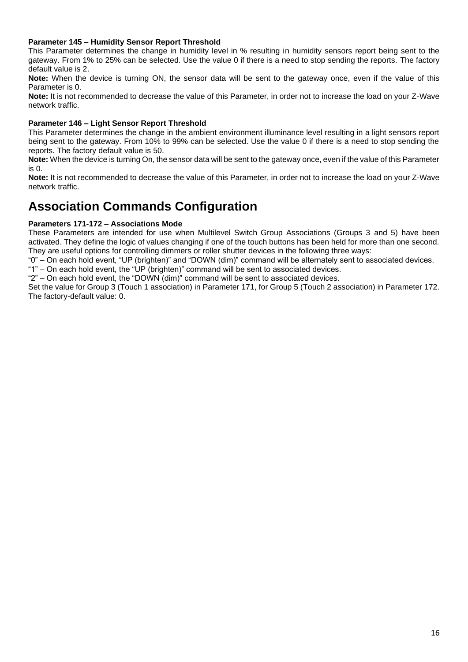#### **Parameter 145 – Humidity Sensor Report Threshold**

This Parameter determines the change in humidity level in % resulting in humidity sensors report being sent to the gateway. From 1% to 25% can be selected. Use the value 0 if there is a need to stop sending the reports. The factory default value is 2.

**Note:** When the device is turning ON, the sensor data will be sent to the gateway once, even if the value of this Parameter is 0.

**Note:** It is not recommended to decrease the value of this Parameter, in order not to increase the load on your Z-Wave network traffic.

#### **Parameter 146 – Light Sensor Report Threshold**

This Parameter determines the change in the ambient environment illuminance level resulting in a light sensors report being sent to the gateway. From 10% to 99% can be selected. Use the value 0 if there is a need to stop sending the reports. The factory default value is 50.

**Note:** When the device is turning On, the sensor data will be sent to the gateway once, even if the value of this Parameter is 0.

**Note:** It is not recommended to decrease the value of this Parameter, in order not to increase the load on your Z-Wave network traffic.

## <span id="page-15-0"></span>**Association Commands Configuration**

#### **Parameters 171-172 – Associations Mode**

These Parameters are intended for use when Multilevel Switch Group Associations (Groups 3 and 5) have been activated. They define the logic of values changing if one of the touch buttons has been held for more than one second. They are useful options for controlling dimmers or roller shutter devices in the following three ways:

"0" – On each hold event, "UP (brighten)" and "DOWN (dim)" command will be alternately sent to associated devices. "1" – On each hold event, the "UP (brighten)" command will be sent to associated devices.

"2" – On each hold event, the "DOWN (dim)" command will be sent to associated devices.

Set the value for Group 3 (Touch 1 association) in Parameter 171, for Group 5 (Touch 2 association) in Parameter 172. The factory-default value: 0.